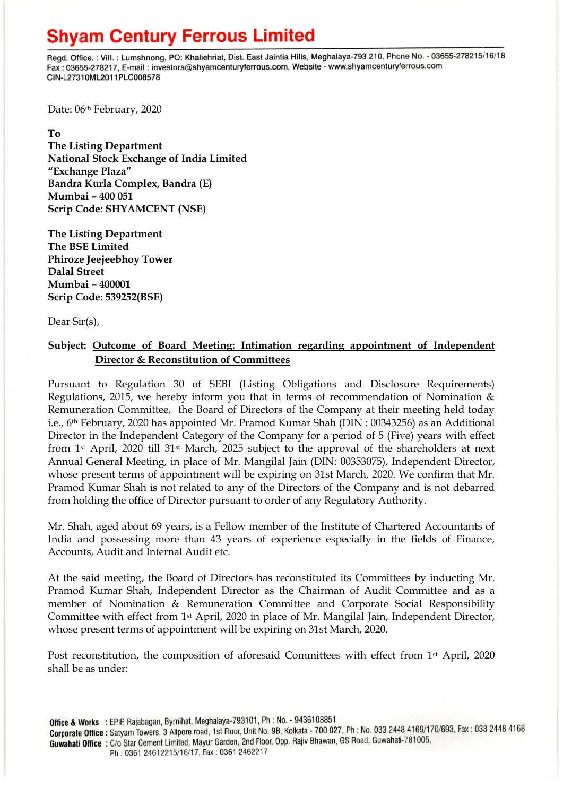## **Shyam Century Ferrous Limited**

Regd. Office.: Vill.: Lumshnong, PO: Khaliehriat, Dist. East Jaintia Hills, Meghalaya-793 210, Phone No. - 03655-278215/16/18 Fax: 03655-278217, E-mail: investors@shyamcenturyferrous.com, Website - www.shyamcenturyferrous.com CIN-L27310ML2011PLC008578

Date: 06<sup>th</sup> February, 2020

**To** 

**The Listing Department National Stock Exchange of India Limited "Exchange Plaza" Bandra Kurla Complex, Bandra (E) Mumbai – 400 051 Scrip Code**: **SHYAMCENT (NSE)**

**The Listing Department The BSE Limited Phiroze Jeejeebhoy Tower Dalal Street Mumbai – 400001 Scrip Code**: **539252(BSE)**

Dear Sir(s),

### **Subject: Outcome of Board Meeting: Intimation regarding appointment of Independent Director & Reconstitution of Committees**

Pursuant to Regulation 30 of SEBI (Listing Obligations and Disclosure Requirements) Regulations, 2015, we hereby inform you that in terms of recommendation of Nomination & Remuneration Committee, the Board of Directors of the Company at their meeting held today i.e., 6<sup>th</sup> February, 2020 has appointed Mr. Pramod Kumar Shah (DIN : 00343256) as an Additional Director in the Independent Category of the Company for a period of 5 (Five) years with effect from 1st April, 2020 till 31st March, 2025 subject to the approval of the shareholders at next Annual General Meeting, in place of Mr. Mangilal Jain (DIN: 00353075), Independent Director, whose present terms of appointment will be expiring on 31st March, 2020. We confirm that Mr. Pramod Kumar Shah is not related to any of the Directors of the Company and is not debarred from holding the office of Director pursuant to order of any Regulatory Authority.

Mr. Shah, aged about 69 years, is a Fellow member of the Institute of Chartered Accountants of India and possessing more than 43 years of experience especially in the fields of Finance, Accounts, Audit and Internal Audit etc.

At the said meeting, the Board of Directors has reconstituted its Committees by inducting Mr. Pramod Kumar Shah, Independent Director as the Chairman of Audit Committee and as a member of Nomination & Remuneration Committee and Corporate Social Responsibility Committee with effect from 1st April, 2020 in place of Mr. Mangilal Jain, Independent Director, whose present terms of appointment will be expiring on 31st March, 2020.

Post reconstitution, the composition of aforesaid Committees with effect from 1<sup>st</sup> April, 2020 shall be as under: